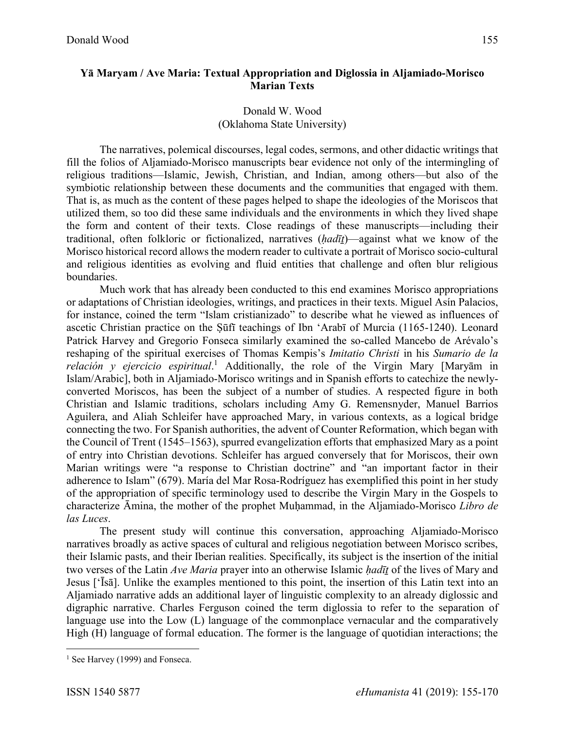## Donald W. Wood (Oklahoma State University)

The narratives, polemical discourses, legal codes, sermons, and other didactic writings that fill the folios of Aljamiado-Morisco manuscripts bear evidence not only of the intermingling of religious traditions—Islamic, Jewish, Christian, and Indian, among others—but also of the symbiotic relationship between these documents and the communities that engaged with them. That is, as much as the content of these pages helped to shape the ideologies of the Moriscos that utilized them, so too did these same individuals and the environments in which they lived shape the form and content of their texts. Close readings of these manuscripts—including their traditional, often folkloric or fictionalized, narratives (*ḥadīṯ*)—against what we know of the Morisco historical record allows the modern reader to cultivate a portrait of Morisco socio-cultural and religious identities as evolving and fluid entities that challenge and often blur religious boundaries.

Much work that has already been conducted to this end examines Morisco appropriations or adaptations of Christian ideologies, writings, and practices in their texts. Miguel Asín Palacios, for instance, coined the term "Islam cristianizado" to describe what he viewed as influences of ascetic Christian practice on the Ṣūfī teachings of Ibn 'Arabī of Murcia (1165-1240). Leonard Patrick Harvey and Gregorio Fonseca similarly examined the so-called Mancebo de Arévalo's reshaping of the spiritual exercises of Thomas Kempis's *Imitatio Christi* in his *Sumario de la relación y ejercicio espiritual*. <sup>1</sup> Additionally, the role of the Virgin Mary [Maryām in Islam/Arabic], both in Aljamiado-Morisco writings and in Spanish efforts to catechize the newlyconverted Moriscos, has been the subject of a number of studies. A respected figure in both Christian and Islamic traditions, scholars including Amy G. Remensnyder, Manuel Barrios Aguilera, and Aliah Schleifer have approached Mary, in various contexts, as a logical bridge connecting the two. For Spanish authorities, the advent of Counter Reformation, which began with the Council of Trent (1545–1563), spurred evangelization efforts that emphasized Mary as a point of entry into Christian devotions. Schleifer has argued conversely that for Moriscos, their own Marian writings were "a response to Christian doctrine" and "an important factor in their adherence to Islam" (679). María del Mar Rosa-Rodríguez has exemplified this point in her study of the appropriation of specific terminology used to describe the Virgin Mary in the Gospels to characterize Āmina, the mother of the prophet Muḥammad, in the Aljamiado-Morisco *Libro de las Luces*.

The present study will continue this conversation, approaching Aljamiado-Morisco narratives broadly as active spaces of cultural and religious negotiation between Morisco scribes, their Islamic pasts, and their Iberian realities. Specifically, its subject is the insertion of the initial two verses of the Latin *Ave Maria* prayer into an otherwise Islamic *hadīt* of the lives of Mary and Jesus ['Īsā]. Unlike the examples mentioned to this point, the insertion of this Latin text into an Aljamiado narrative adds an additional layer of linguistic complexity to an already diglossic and digraphic narrative. Charles Ferguson coined the term diglossia to refer to the separation of language use into the Low (L) language of the commonplace vernacular and the comparatively High (H) language of formal education. The former is the language of quotidian interactions; the

<sup>&</sup>lt;sup>1</sup> See Harvey (1999) and Fonseca.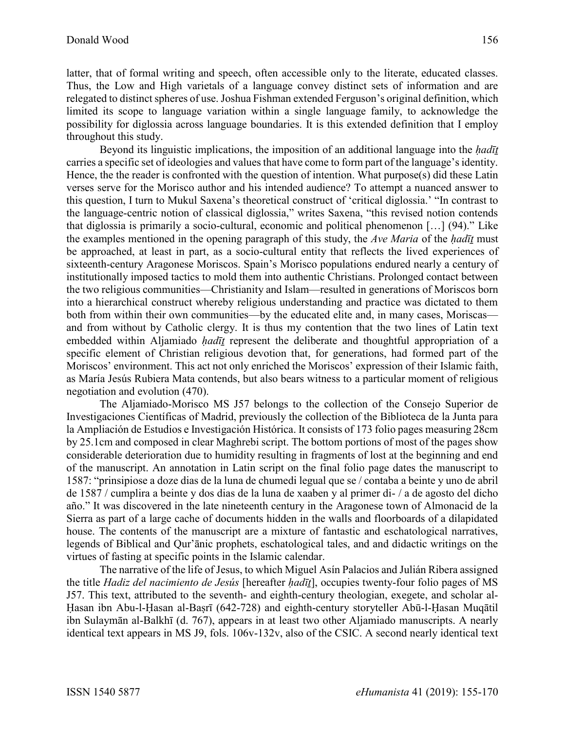latter, that of formal writing and speech, often accessible only to the literate, educated classes. Thus, the Low and High varietals of a language convey distinct sets of information and are relegated to distinct spheres of use. Joshua Fishman extended Ferguson's original definition, which limited its scope to language variation within a single language family, to acknowledge the possibility for diglossia across language boundaries. It is this extended definition that I employ throughout this study.

Beyond its linguistic implications, the imposition of an additional language into the *ḥadīṯ* carries a specific set of ideologies and values that have come to form part of the language's identity. Hence, the the reader is confronted with the question of intention. What purpose(s) did these Latin verses serve for the Morisco author and his intended audience? To attempt a nuanced answer to this question, I turn to Mukul Saxena's theoretical construct of 'critical diglossia.' "In contrast to the language-centric notion of classical diglossia," writes Saxena, "this revised notion contends that diglossia is primarily a socio-cultural, economic and political phenomenon […] (94)." Like the examples mentioned in the opening paragraph of this study, the *Ave Maria* of the *ḥadīṯ* must be approached, at least in part, as a socio-cultural entity that reflects the lived experiences of sixteenth-century Aragonese Moriscos. Spain's Morisco populations endured nearly a century of institutionally imposed tactics to mold them into authentic Christians. Prolonged contact between the two religious communities—Christianity and Islam—resulted in generations of Moriscos born into a hierarchical construct whereby religious understanding and practice was dictated to them both from within their own communities—by the educated elite and, in many cases, Moriscas and from without by Catholic clergy. It is thus my contention that the two lines of Latin text embedded within Aljamiado *hadīt* represent the deliberate and thoughtful appropriation of a specific element of Christian religious devotion that, for generations, had formed part of the Moriscos' environment. This act not only enriched the Moriscos' expression of their Islamic faith, as María Jesús Rubiera Mata contends, but also bears witness to a particular moment of religious negotiation and evolution (470).

The Aljamiado-Morisco MS J57 belongs to the collection of the Consejo Superior de Investigaciones Científicas of Madrid, previously the collection of the Biblioteca de la Junta para la Ampliación de Estudios e Investigación Histórica. It consists of 173 folio pages measuring 28cm by 25.1cm and composed in clear Maghrebi script. The bottom portions of most of the pages show considerable deterioration due to humidity resulting in fragments of lost at the beginning and end of the manuscript. An annotation in Latin script on the final folio page dates the manuscript to 1587: "prinsipiose a doze dias de la luna de chumedi legual que se / contaba a beinte y uno de abril de 1587 / cumplira a beinte y dos dias de la luna de xaaben y al primer di- / a de agosto del dicho año." It was discovered in the late nineteenth century in the Aragonese town of Almonacid de la Sierra as part of a large cache of documents hidden in the walls and floorboards of a dilapidated house. The contents of the manuscript are a mixture of fantastic and eschatological narratives, legends of Biblical and Qur'ānic prophets, eschatological tales, and and didactic writings on the virtues of fasting at specific points in the Islamic calendar.

The narrative of the life of Jesus, to which Miguel Asín Palacios and Julián Ribera assigned the title *Hadiz del nacimiento de Jesús* [hereafter *ḥadīṯ*], occupies twenty-four folio pages of MS J57. This text, attributed to the seventh- and eighth-century theologian, exegete, and scholar al-Ḥasan ibn Abu-l-Ḥasan al-Baṣrī (642-728) and eighth-century storyteller Abū-l-Ḥasan Muqātil ibn Sulaymān al-Balkhī (d. 767), appears in at least two other Aljamiado manuscripts. A nearly identical text appears in MS J9, fols. 106v-132v, also of the CSIC. A second nearly identical text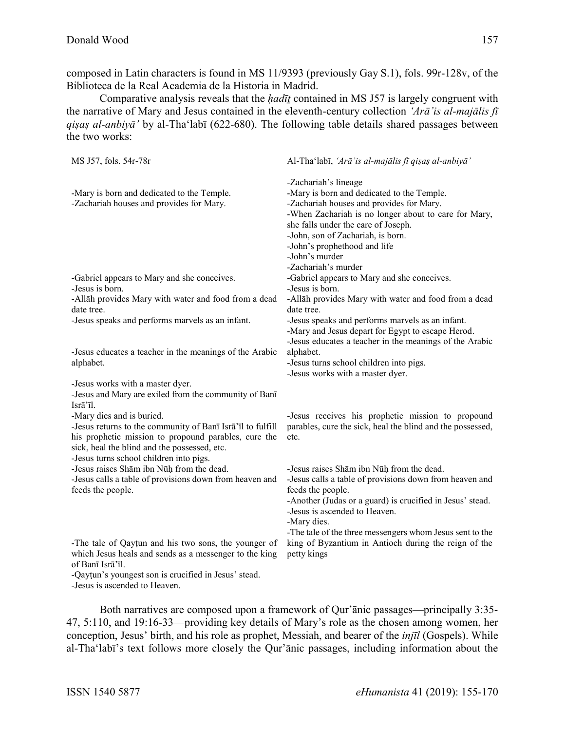composed in Latin characters is found in MS 11/9393 (previously Gay S.1), fols. 99r-128v, of the Biblioteca de la Real Academia de la Historia in Madrid.

Comparative analysis reveals that the *ḥadīṯ* contained in MS J57 is largely congruent with the narrative of Mary and Jesus contained in the eleventh-century collection *'Arā'is al-majālis fī qiṣaṣ al-anbiyā'* by al-Tha'labī (622-680). The following table details shared passages between the two works:

| MS J57, fols. 54r-78r                                                                                                                                                                                                                      | Al-Tha'labī, 'Arā'is al-majālis fī qişaş al-anbiyā'                                                                                                                                                                                                                                                                         |
|--------------------------------------------------------------------------------------------------------------------------------------------------------------------------------------------------------------------------------------------|-----------------------------------------------------------------------------------------------------------------------------------------------------------------------------------------------------------------------------------------------------------------------------------------------------------------------------|
| -Mary is born and dedicated to the Temple.<br>-Zachariah houses and provides for Mary.                                                                                                                                                     | -Zachariah's lineage<br>-Mary is born and dedicated to the Temple.<br>-Zachariah houses and provides for Mary.<br>-When Zachariah is no longer about to care for Mary,<br>she falls under the care of Joseph.<br>-John, son of Zachariah, is born.<br>-John's prophethood and life<br>-John's murder<br>-Zachariah's murder |
| -Gabriel appears to Mary and she conceives.<br>-Jesus is born.                                                                                                                                                                             | -Gabriel appears to Mary and she conceives.<br>-Jesus is born.                                                                                                                                                                                                                                                              |
| -Allāh provides Mary with water and food from a dead<br>date tree.                                                                                                                                                                         | -Allāh provides Mary with water and food from a dead<br>date tree.                                                                                                                                                                                                                                                          |
| -Jesus speaks and performs marvels as an infant.                                                                                                                                                                                           | -Jesus speaks and performs marvels as an infant.<br>-Mary and Jesus depart for Egypt to escape Herod.<br>-Jesus educates a teacher in the meanings of the Arabic                                                                                                                                                            |
| -Jesus educates a teacher in the meanings of the Arabic<br>alphabet.                                                                                                                                                                       | alphabet.<br>-Jesus turns school children into pigs.<br>-Jesus works with a master dyer.                                                                                                                                                                                                                                    |
| -Jesus works with a master dyer.<br>-Jesus and Mary are exiled from the community of Banī<br>Isrā'īl.                                                                                                                                      |                                                                                                                                                                                                                                                                                                                             |
| -Mary dies and is buried.<br>-Jesus returns to the community of Banī Isrā'īl to fulfill<br>his prophetic mission to propound parables, cure the<br>sick, heal the blind and the possessed, etc.<br>-Jesus turns school children into pigs. | -Jesus receives his prophetic mission to propound<br>parables, cure the sick, heal the blind and the possessed,<br>etc.                                                                                                                                                                                                     |
| -Jesus raises Shām ibn Nūh from the dead.<br>-Jesus calls a table of provisions down from heaven and<br>feeds the people.                                                                                                                  | -Jesus raises Shām ibn Nūḥ from the dead.<br>-Jesus calls a table of provisions down from heaven and<br>feeds the people.<br>-Another (Judas or a guard) is crucified in Jesus' stead.<br>-Jesus is ascended to Heaven.<br>-Mary dies.<br>-The tale of the three messengers whom Jesus sent to the                          |
| -The tale of Qaytun and his two sons, the younger of<br>which Jesus heals and sends as a messenger to the king<br>of Banī Isrā'īl.<br>-Qaytun's youngest son is crucified in Jesus' stead.                                                 | king of Byzantium in Antioch during the reign of the<br>petty kings                                                                                                                                                                                                                                                         |

-Jesus is ascended to Heaven.

Both narratives are composed upon a framework of Qur'ānic passages—principally 3:35- 47, 5:110, and 19:16-33—providing key details of Mary's role as the chosen among women, her conception, Jesus' birth, and his role as prophet, Messiah, and bearer of the *injīl* (Gospels). While al-Tha'labī's text follows more closely the Qur'ānic passages, including information about the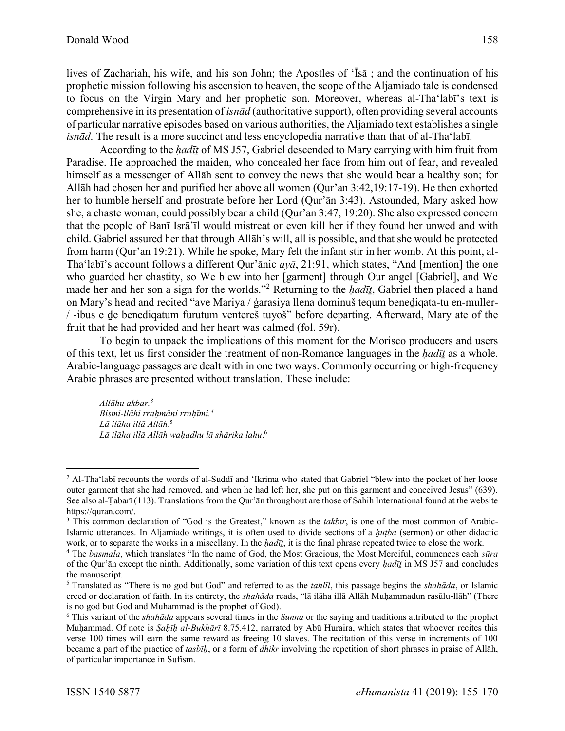lives of Zachariah, his wife, and his son John; the Apostles of 'Īsā ; and the continuation of his prophetic mission following his ascension to heaven, the scope of the Aljamiado tale is condensed to focus on the Virgin Mary and her prophetic son. Moreover, whereas al-Tha'labī's text is comprehensive in its presentation of *isnād* (authoritative support), often providing several accounts of particular narrative episodes based on various authorities, the Aljamiado text establishes a single *isnād*. The result is a more succinct and less encyclopedia narrative than that of al-Tha'labī.

According to the *ḥadīṯ* of MS J57, Gabriel descended to Mary carrying with him fruit from Paradise. He approached the maiden, who concealed her face from him out of fear, and revealed himself as a messenger of Allāh sent to convey the news that she would bear a healthy son; for Allāh had chosen her and purified her above all women (Qur'an 3:42,19:17-19). He then exhorted her to humble herself and prostrate before her Lord (Qur'ān 3:43). Astounded, Mary asked how she, a chaste woman, could possibly bear a child (Qur'an 3:47, 19:20). She also expressed concern that the people of Banī Isrā'īl would mistreat or even kill her if they found her unwed and with child. Gabriel assured her that through Allāh's will, all is possible, and that she would be protected from harm (Qur'an 19:21). While he spoke, Mary felt the infant stir in her womb. At this point, al-Tha'labī's account follows a different Qur'ānic *ayā*, 21:91, which states, "And [mention] the one who guarded her chastity, so We blew into her [garment] through Our angel [Gabriel], and We made her and her son a sign for the worlds."<sup>2</sup> Returning to the *ḥadīṯ*, Gabriel then placed a hand on Mary's head and recited "ave Mariya / ġarasiya llena dominuš tequm benediqata-tu en-muller-/ -ibus e ḏe benediqatum furutum ventereš tuyoš" before departing. Afterward, Mary ate of the fruit that he had provided and her heart was calmed (fol. 59r).

To begin to unpack the implications of this moment for the Morisco producers and users of this text, let us first consider the treatment of non-Romance languages in the *ḥadīṯ* as a whole. Arabic-language passages are dealt with in one two ways. Commonly occurring or high-frequency Arabic phrases are presented without translation. These include:

*Allāhu akbar.<sup>3</sup> Bismi-llāhi rraḥmāni rraḥīmi.<sup>4</sup> Lā ilāha illā Allāh*. 5 *Lā ilāha illā Allāh waḥadhu lā shārika lahu*. 6

<sup>&</sup>lt;sup>2</sup> Al-Tha'labī recounts the words of al-Suddī and 'Ikrima who stated that Gabriel "blew into the pocket of her loose outer garment that she had removed, and when he had left her, she put on this garment and conceived Jesus" (639). See also al-Tabarī (113). Translations from the Qur'ān throughout are those of Sahih International found at the website https://quran.com/.

<sup>3</sup> This common declaration of "God is the Greatest," known as the *takbīr*, is one of the most common of Arabic-Islamic utterances. In Aljamiado writings, it is often used to divide sections of a *ḫuṭba* (sermon) or other didactic work, or to separate the works in a miscellany. In the *hadīt*, it is the final phrase repeated twice to close the work.

<sup>4</sup> The *basmala*, which translates "In the name of God, the Most Gracious, the Most Merciful, commences each *sūra*  of the Qur'ān except the ninth. Additionally, some variation of this text opens every *ḥadīṯ* in MS J57 and concludes the manuscript.

<sup>5</sup> Translated as "There is no god but God" and referred to as the *tahlīl*, this passage begins the *shahāda*, or Islamic creed or declaration of faith. In its entirety, the *shahāda* reads, "lā ilāha illā Allāh Muḥammadun rasūlu-llāh" (There is no god but God and Muhammad is the prophet of God).

<sup>6</sup> This variant of the *shahāda* appears several times in the *Sunna* or the saying and traditions attributed to the prophet Muḥammad. Of note is *Ṣaḥīḥ al-Bukhārī* 8.75.412, narrated by Abū Huraira, which states that whoever recites this verse 100 times will earn the same reward as freeing 10 slaves. The recitation of this verse in increments of 100 became a part of the practice of *tasbīḥ*, or a form of *dhikr* involving the repetition of short phrases in praise of Allāh, of particular importance in Sufism.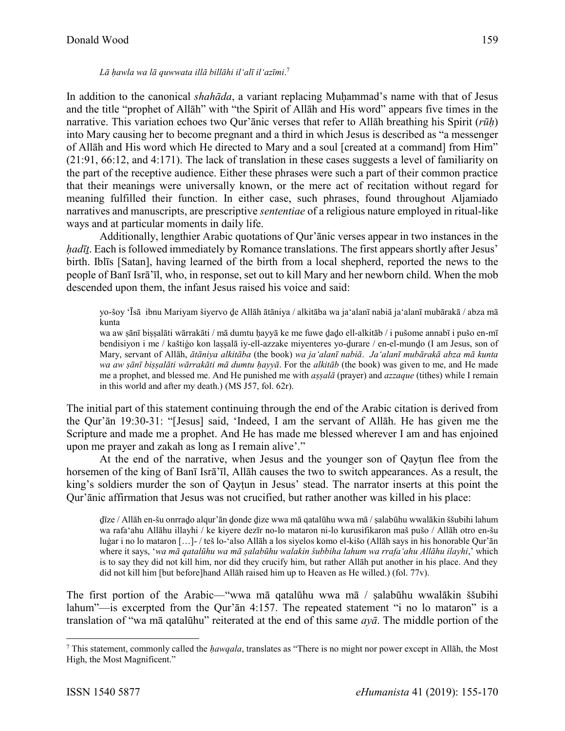In addition to the canonical *shahāda*, a variant replacing Muḥammad's name with that of Jesus and the title "prophet of Allāh" with "the Spirit of Allāh and His word" appears five times in the narrative. This variation echoes two Qur'ānic verses that refer to Allāh breathing his Spirit (*rūḥ*) into Mary causing her to become pregnant and a third in which Jesus is described as "a messenger of Allāh and His word which He directed to Mary and a soul [created at a command] from Him" (21:91, 66:12, and 4:171). The lack of translation in these cases suggests a level of familiarity on the part of the receptive audience. Either these phrases were such a part of their common practice that their meanings were universally known, or the mere act of recitation without regard for meaning fulfilled their function. In either case, such phrases, found throughout Aljamiado narratives and manuscripts, are prescriptive *sententiae* of a religious nature employed in ritual-like ways and at particular moments in daily life.

Additionally, lengthier Arabic quotations of Qur'ānic verses appear in two instances in the *hadīt*. Each is followed immediately by Romance translations. The first appears shortly after Jesus' birth. Iblīs [Satan], having learned of the birth from a local shepherd, reported the news to the people of Banī Isrā'īl, who, in response, set out to kill Mary and her newborn child. When the mob descended upon them, the infant Jesus raised his voice and said:

yo-šoy 'Īsā ibnu Mariyam šiyervo ḏe Allāh ātāniya / alkitāba wa ja'alanī nabiā ja'alanī mubārakā / abza mā kunta

wa aw ṣānī biṣṣalāti wārrakāti / mā dumtu ḥayyā ke me fuwe ḏaḏo ell-alkitāb / i pušome annabī i pušo en-mī bendisiyon i me / kaštiġo kon laṣṣalā iy-ell-azzake miyenteres yo-ḏurare / en-el-munḏo (I am Jesus, son of Mary, servant of Allāh, *ātāniya alkitāba* (the book) *wa ja'alanī nabiā*. *Ja'alanī mubārakā abza mā kunta wa aw ṣānī biṣṣalāti wārrakāti mā dumtu ḥayyā*. For the *alkitāb* (the book) was given to me, and He made me a prophet, and blessed me. And He punished me with *aṣṣalā* (prayer) and *azzaque* (tithes) while I remain in this world and after my death.) (MS J57, fol. 62r).

The initial part of this statement continuing through the end of the Arabic citation is derived from the Qur'ān 19:30-31: "[Jesus] said, 'Indeed, I am the servant of Allāh. He has given me the Scripture and made me a prophet. And He has made me blessed wherever I am and has enjoined upon me prayer and zakah as long as I remain alive'."

At the end of the narrative, when Jesus and the younger son of Qayṭun flee from the horsemen of the king of Banī Isrā'īl, Allāh causes the two to switch appearances. As a result, the king's soldiers murder the son of Qaytun in Jesus' stead. The narrator inserts at this point the Qur'ānic affirmation that Jesus was not crucified, but rather another was killed in his place:

ḏīze / Allāh en-šu onrraḏo alqur'ān ḏonde ḏize wwa mā qatalūhu wwa mā / ṣalabūhu wwalākin ššubihi lahum wa rafa'ahu Allāhu illayhi / ke kiyere dezīr no-lo mataron ni-lo kurusifikaron maš pušo / Allāh otro en-šu luġar i no lo mataron […]- / teš lo-'also Allāh a los siyelos komo el-kišo (Allāh says in his honorable Qur'ān where it says, '*wa mā qatalūhu wa mā ṣalabūhu walakin šubbiha lahum wa rrafa'ahu Allāhu ilayhi*,' which is to say they did not kill him, nor did they crucify him, but rather Allāh put another in his place. And they did not kill him [but before]hand Allāh raised him up to Heaven as He willed.) (fol. 77v).

The first portion of the Arabic—"wwa mā qatalūhu wwa mā / ṣalabūhu wwalākin ššubihi lahum"—is excerpted from the Qur'ān 4:157. The repeated statement "i no lo mataron" is a translation of "wa mā qatalūhu" reiterated at the end of this same *ayā*. The middle portion of the

<sup>7</sup> This statement, commonly called the *ḥawqala*, translates as "There is no might nor power except in Allāh, the Most High, the Most Magnificent."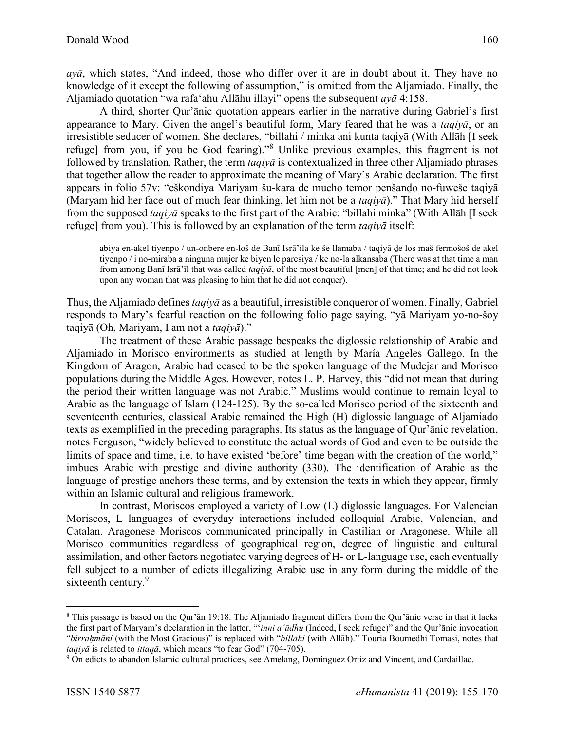*ayā*, which states, "And indeed, those who differ over it are in doubt about it. They have no knowledge of it except the following of assumption," is omitted from the Aljamiado. Finally, the Aljamiado quotation "wa rafa'ahu Allāhu illayi" opens the subsequent *ayā* 4:158.

A third, shorter Qur'ānic quotation appears earlier in the narrative during Gabriel's first appearance to Mary. Given the angel's beautiful form, Mary feared that he was a *taqiyā*, or an irresistible seducer of women. She declares, "billahi / minka ani kunta taqiyā (With Allāh [I seek refuge] from you, if you be God fearing)."<sup>8</sup> Unlike previous examples, this fragment is not followed by translation. Rather, the term *taqiyā* is contextualized in three other Aljamiado phrases that together allow the reader to approximate the meaning of Mary's Arabic declaration. The first appears in folio 57v: "eškondiya Mariyam šu-kara de mucho temor penšanḏo no-fuweše taqiyā (Maryam hid her face out of much fear thinking, let him not be a *taqiyā*)." That Mary hid herself from the supposed *taqiyā* speaks to the first part of the Arabic: "billahi minka" (With Allāh [I seek refuge] from you). This is followed by an explanation of the term *taqiyā* itself:

abiya en-akel tiyenpo / un-onbere en-loš de Banī Isrā'ila ke še llamaba / taqiyā ḏe los maš fermošoš de akel tiyenpo / i no-miraba a ninguna mujer ke biyen le paresiya / ke no-la alkansaba (There was at that time a man from among Banī Isrā'īl that was called *taqiyā*, of the most beautiful [men] of that time; and he did not look upon any woman that was pleasing to him that he did not conquer).

Thus, the Aljamiado defines *taqiyā* as a beautiful, irresistible conqueror of women. Finally, Gabriel responds to Mary's fearful reaction on the following folio page saying, "yā Mariyam yo-no-šoy taqiyā (Oh, Mariyam, I am not a *taqiyā*)."

The treatment of these Arabic passage bespeaks the diglossic relationship of Arabic and Aljamiado in Morisco environments as studied at length by María Angeles Gallego. In the Kingdom of Aragon, Arabic had ceased to be the spoken language of the Mudejar and Morisco populations during the Middle Ages. However, notes L. P. Harvey, this "did not mean that during the period their written language was not Arabic." Muslims would continue to remain loyal to Arabic as the language of Islam (124-125). By the so-called Morisco period of the sixteenth and seventeenth centuries, classical Arabic remained the High (H) diglossic language of Aljamiado texts as exemplified in the preceding paragraphs. Its status as the language of Qur'ānic revelation, notes Ferguson, "widely believed to constitute the actual words of God and even to be outside the limits of space and time, i.e. to have existed 'before' time began with the creation of the world," imbues Arabic with prestige and divine authority (330). The identification of Arabic as the language of prestige anchors these terms, and by extension the texts in which they appear, firmly within an Islamic cultural and religious framework.

In contrast, Moriscos employed a variety of Low (L) diglossic languages. For Valencian Moriscos, L languages of everyday interactions included colloquial Arabic, Valencian, and Catalan. Aragonese Moriscos communicated principally in Castilian or Aragonese. While all Morisco communities regardless of geographical region, degree of linguistic and cultural assimilation, and other factors negotiated varying degrees of H- or L-language use, each eventually fell subject to a number of edicts illegalizing Arabic use in any form during the middle of the sixteenth century.<sup>9</sup>

<sup>8</sup> This passage is based on the Qur'ān 19:18. The Aljamiado fragment differs from the Qur'ānic verse in that it lacks the first part of Maryam's declaration in the latter, "'*inni a'ūdhu* (Indeed, I seek refuge)" and the Qur'ānic invocation "*birraḥmāni* (with the Most Gracious)" is replaced with "*billahi* (with Allāh)." Touria Boumedhi Tomasi, notes that *taqiyā* is related to *ittaqā*, which means "to fear God" (704-705).

<sup>9</sup> On edicts to abandon Islamic cultural practices, see Amelang, Domínguez Ortiz and Vincent, and Cardaillac.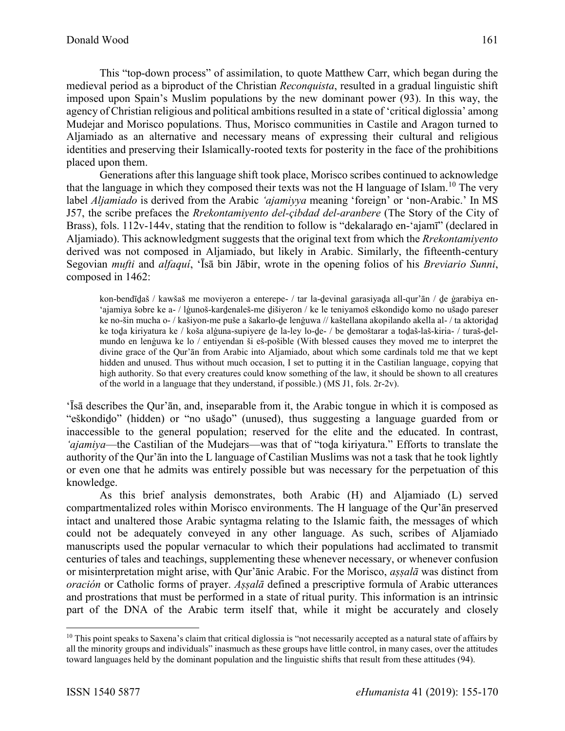This "top-down process" of assimilation, to quote Matthew Carr, which began during the medieval period as a biproduct of the Christian *Reconquista*, resulted in a gradual linguistic shift imposed upon Spain's Muslim populations by the new dominant power (93). In this way, the agency of Christian religious and political ambitions resulted in a state of 'critical diglossia' among Mudejar and Morisco populations. Thus, Morisco communities in Castile and Aragon turned to Aljamiado as an alternative and necessary means of expressing their cultural and religious identities and preserving their Islamically-rooted texts for posterity in the face of the prohibitions

placed upon them. Generations after this language shift took place, Morisco scribes continued to acknowledge that the language in which they composed their texts was not the H language of Islam.<sup>10</sup> The very label *Aljamiado* is derived from the Arabic *'ajamiyya* meaning 'foreign' or 'non-Arabic.' In MS J57, the scribe prefaces the *Rrekontamiyento del-çibdad del-aranbere* (The Story of the City of Brass), fols. 112v-144v, stating that the rendition to follow is "dekalarado en-'ajamī" (declared in Aljamiado). This acknowledgment suggests that the original text from which the *Rrekontamiyento*  derived was not composed in Aljamiado, but likely in Arabic. Similarly, the fifteenth-century Segovian *mufti* and *alfaquí*, 'Īsā bin Jābir, wrote in the opening folios of his *Breviario Sunni*, composed in 1462:

kon-bendīḏaš / kawšaš me moviyeron a enterepe- / tar la-ḏevinal garasiyaḏa all-qur'ān / ḏe ġarabiya en- 'ajamiya šobre ke a- / lġunoš-karḏenaleš-me ḏišiyeron / ke le teniyamoš eškondiḏo komo no ušaḏo pareser ke no-šin mucha o- / kašiyon-me puše a šakarlo-ḏe lenġuwa // kaštellana akopilando akella al- / ta aktoriḏaḏ ke toḏa kiriyatura ke / koša alġuna-supiyere ḏe la-ley lo-ḏe- / be ḏemoštarar a toḏaš-laš-kiria- / turaš-ḏelmundo en lenġuwa ke lo / entiyendan ši eš-pošible (With blessed causes they moved me to interpret the divine grace of the Qur'ān from Arabic into Aljamiado, about which some cardinals told me that we kept hidden and unused. Thus without much occasion, I set to putting it in the Castilian language, copying that high authority. So that every creatures could know something of the law, it should be shown to all creatures of the world in a language that they understand, if possible.) (MS J1, fols. 2r-2v).

'Īsā describes the Qur'ān, and, inseparable from it, the Arabic tongue in which it is composed as "eškondiḏo" (hidden) or "no ušaḏo" (unused), thus suggesting a language guarded from or inaccessible to the general population; reserved for the elite and the educated. In contrast, *'ajamiya*—the Castilian of the Mudejars—was that of "toḏa kiriyatura." Efforts to translate the authority of the Qur'ān into the L language of Castilian Muslims was not a task that he took lightly or even one that he admits was entirely possible but was necessary for the perpetuation of this knowledge.

As this brief analysis demonstrates, both Arabic (H) and Aljamiado (L) served compartmentalized roles within Morisco environments. The H language of the Qur'ān preserved intact and unaltered those Arabic syntagma relating to the Islamic faith, the messages of which could not be adequately conveyed in any other language. As such, scribes of Aljamiado manuscripts used the popular vernacular to which their populations had acclimated to transmit centuries of tales and teachings, supplementing these whenever necessary, or whenever confusion or misinterpretation might arise, with Qur'ānic Arabic. For the Morisco, *aṣṣalā* was distinct from *oración* or Catholic forms of prayer. *Aṣṣalā* defined a prescriptive formula of Arabic utterances and prostrations that must be performed in a state of ritual purity. This information is an intrinsic part of the DNA of the Arabic term itself that, while it might be accurately and closely

 $\overline{a}$ 

161

 $10$  This point speaks to Saxena's claim that critical diglossia is "not necessarily accepted as a natural state of affairs by all the minority groups and individuals" inasmuch as these groups have little control, in many cases, over the attitudes toward languages held by the dominant population and the linguistic shifts that result from these attitudes (94).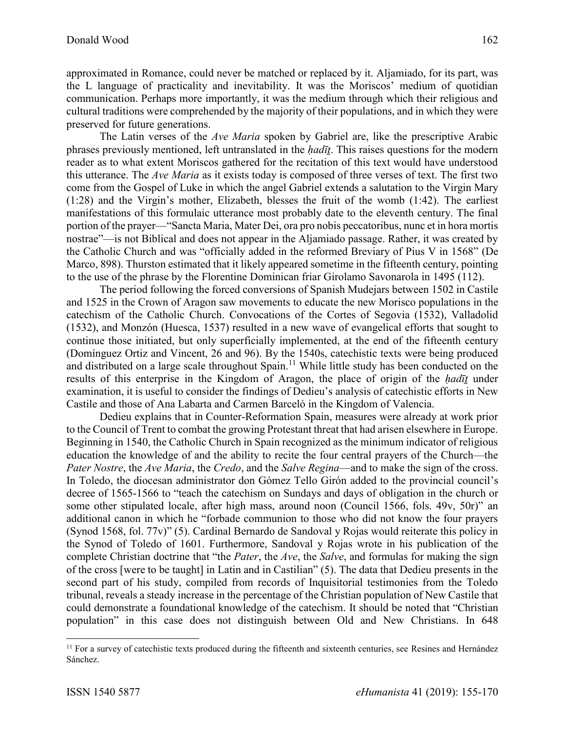approximated in Romance, could never be matched or replaced by it. Aljamiado, for its part, was the L language of practicality and inevitability. It was the Moriscos' medium of quotidian communication. Perhaps more importantly, it was the medium through which their religious and cultural traditions were comprehended by the majority of their populations, and in which they were preserved for future generations.

The Latin verses of the *Ave Maria* spoken by Gabriel are, like the prescriptive Arabic phrases previously mentioned, left untranslated in the *ḥadīṯ*. This raises questions for the modern reader as to what extent Moriscos gathered for the recitation of this text would have understood this utterance. The *Ave Maria* as it exists today is composed of three verses of text. The first two come from the Gospel of Luke in which the angel Gabriel extends a salutation to the Virgin Mary (1:28) and the Virgin's mother, Elizabeth, blesses the fruit of the womb (1:42). The earliest manifestations of this formulaic utterance most probably date to the eleventh century. The final portion of the prayer—"Sancta Maria, Mater Dei, ora pro nobis peccatoribus, nunc et in hora mortis nostrae"—is not Biblical and does not appear in the Aljamiado passage. Rather, it was created by the Catholic Church and was "officially added in the reformed Breviary of Pius V in 1568" (De Marco, 898). Thurston estimated that it likely appeared sometime in the fifteenth century, pointing to the use of the phrase by the Florentine Dominican friar Girolamo Savonarola in 1495 (112).

The period following the forced conversions of Spanish Mudejars between 1502 in Castile and 1525 in the Crown of Aragon saw movements to educate the new Morisco populations in the catechism of the Catholic Church. Convocations of the Cortes of Segovia (1532), Valladolid (1532), and Monzón (Huesca, 1537) resulted in a new wave of evangelical efforts that sought to continue those initiated, but only superficially implemented, at the end of the fifteenth century (Domínguez Ortiz and Vincent, 26 and 96). By the 1540s, catechistic texts were being produced and distributed on a large scale throughout Spain.<sup>11</sup> While little study has been conducted on the results of this enterprise in the Kingdom of Aragon, the place of origin of the *ḥadīṯ* under examination, it is useful to consider the findings of Dedieu's analysis of catechistic efforts in New Castile and those of Ana Labarta and Carmen Barceló in the Kingdom of Valencia.

Dedieu explains that in Counter-Reformation Spain, measures were already at work prior to the Council of Trent to combat the growing Protestant threat that had arisen elsewhere in Europe. Beginning in 1540, the Catholic Church in Spain recognized as the minimum indicator of religious education the knowledge of and the ability to recite the four central prayers of the Church—the *Pater Nostre*, the *Ave Maria*, the *Credo*, and the *Salve Regina*—and to make the sign of the cross. In Toledo, the diocesan administrator don Gómez Tello Girón added to the provincial council's decree of 1565-1566 to "teach the catechism on Sundays and days of obligation in the church or some other stipulated locale, after high mass, around noon (Council 1566, fols. 49v, 50r)" an additional canon in which he "forbade communion to those who did not know the four prayers (Synod 1568, fol. 77v)" (5). Cardinal Bernardo de Sandoval y Rojas would reiterate this policy in the Synod of Toledo of 1601. Furthermore, Sandoval y Rojas wrote in his publication of the complete Christian doctrine that "the *Pater*, the *Ave*, the *Salve*, and formulas for making the sign of the cross [were to be taught] in Latin and in Castilian" (5). The data that Dedieu presents in the second part of his study, compiled from records of Inquisitorial testimonies from the Toledo tribunal, reveals a steady increase in the percentage of the Christian population of New Castile that could demonstrate a foundational knowledge of the catechism. It should be noted that "Christian population" in this case does not distinguish between Old and New Christians. In 648

<sup>&</sup>lt;sup>11</sup> For a survey of catechistic texts produced during the fifteenth and sixteenth centuries, see Resines and Hernández Sánchez.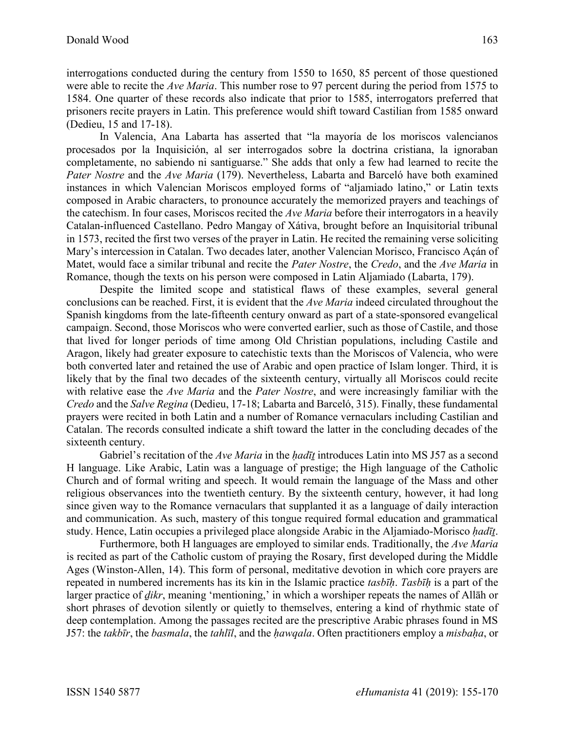interrogations conducted during the century from 1550 to 1650, 85 percent of those questioned were able to recite the *Ave Maria*. This number rose to 97 percent during the period from 1575 to 1584. One quarter of these records also indicate that prior to 1585, interrogators preferred that prisoners recite prayers in Latin. This preference would shift toward Castilian from 1585 onward (Dedieu, 15 and 17-18).

In Valencia, Ana Labarta has asserted that "la mayoría de los moriscos valencianos procesados por la Inquisición, al ser interrogados sobre la doctrina cristiana, la ignoraban completamente, no sabiendo ni santiguarse." She adds that only a few had learned to recite the *Pater Nostre* and the *Ave Maria* (179). Nevertheless, Labarta and Barceló have both examined instances in which Valencian Moriscos employed forms of "aljamiado latino," or Latin texts composed in Arabic characters, to pronounce accurately the memorized prayers and teachings of the catechism. In four cases, Moriscos recited the *Ave Maria* before their interrogators in a heavily Catalan-influenced Castellano. Pedro Mangay of Xátiva, brought before an Inquisitorial tribunal in 1573, recited the first two verses of the prayer in Latin. He recited the remaining verse soliciting Mary's intercession in Catalan. Two decades later, another Valencian Morisco, Francisco Açán of Matet, would face a similar tribunal and recite the *Pater Nostre*, the *Credo*, and the *Ave Maria* in Romance, though the texts on his person were composed in Latin Aljamiado (Labarta, 179).

Despite the limited scope and statistical flaws of these examples, several general conclusions can be reached. First, it is evident that the *Ave Maria* indeed circulated throughout the Spanish kingdoms from the late-fifteenth century onward as part of a state-sponsored evangelical campaign. Second, those Moriscos who were converted earlier, such as those of Castile, and those that lived for longer periods of time among Old Christian populations, including Castile and Aragon, likely had greater exposure to catechistic texts than the Moriscos of Valencia, who were both converted later and retained the use of Arabic and open practice of Islam longer. Third, it is likely that by the final two decades of the sixteenth century, virtually all Moriscos could recite with relative ease the *Ave Maria* and the *Pater Nostre*, and were increasingly familiar with the *Credo* and the *Salve Regina* (Dedieu, 17-18; Labarta and Barceló, 315). Finally, these fundamental prayers were recited in both Latin and a number of Romance vernaculars including Castilian and Catalan. The records consulted indicate a shift toward the latter in the concluding decades of the sixteenth century.

Gabriel's recitation of the *Ave Maria* in the *hadīt* introduces Latin into MS J57 as a second H language. Like Arabic, Latin was a language of prestige; the High language of the Catholic Church and of formal writing and speech. It would remain the language of the Mass and other religious observances into the twentieth century. By the sixteenth century, however, it had long since given way to the Romance vernaculars that supplanted it as a language of daily interaction and communication. As such, mastery of this tongue required formal education and grammatical study. Hence, Latin occupies a privileged place alongside Arabic in the Aljamiado-Morisco *ḥadīṯ*.

Furthermore, both H languages are employed to similar ends. Traditionally, the *Ave Maria*  is recited as part of the Catholic custom of praying the Rosary, first developed during the Middle Ages (Winston-Allen, 14). This form of personal, meditative devotion in which core prayers are repeated in numbered increments has its kin in the Islamic practice *tasbīḥ*. *Tasbīḥ* is a part of the larger practice of *ḏikr*, meaning 'mentioning,' in which a worshiper repeats the names of Allāh or short phrases of devotion silently or quietly to themselves, entering a kind of rhythmic state of deep contemplation. Among the passages recited are the prescriptive Arabic phrases found in MS J57: the *takbīr*, the *basmala*, the *tahlīl*, and the *ḥawqala*. Often practitioners employ a *misbaḥa*, or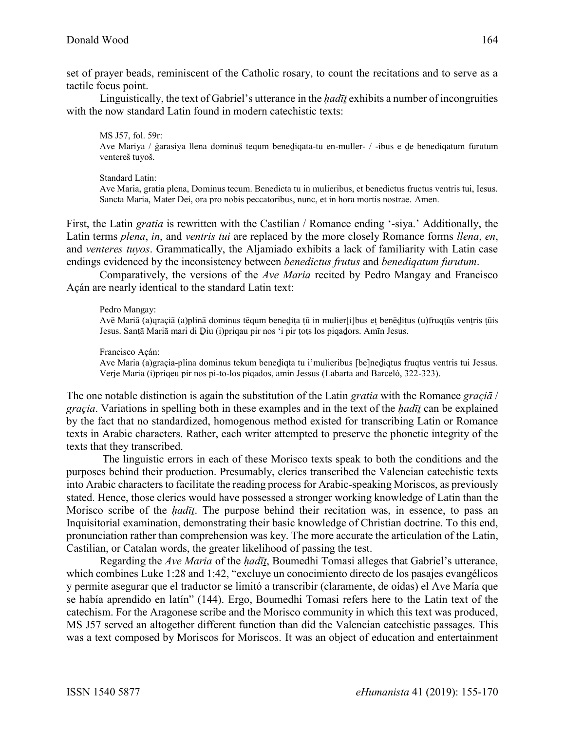set of prayer beads, reminiscent of the Catholic rosary, to count the recitations and to serve as a tactile focus point.

Linguistically, the text of Gabriel's utterance in the *ḥadīṯ* exhibits a number of incongruities with the now standard Latin found in modern catechistic texts:

MS J57, fol. 59r: Ave Mariya / ġarasiya llena dominuš tequm beneḏiqata-tu en-muller- / -ibus e ḏe benediqatum furutum ventereš tuyoš.

Standard Latin: Ave Maria, gratia plena, Dominus tecum. Benedicta tu in mulieribus, et benedictus fructus ventris tui, Iesus. Sancta Maria, Mater Dei, ora pro nobis peccatoribus, nunc, et in hora mortis nostrae. Amen.

First, the Latin *gratia* is rewritten with the Castilian / Romance ending '-siya.' Additionally, the Latin terms *plena*, *in*, and *ventris tui* are replaced by the more closely Romance forms *llena*, *en*, and *venteres tuyos*. Grammatically, the Aljamiado exhibits a lack of familiarity with Latin case endings evidenced by the inconsistency between *benedictus frutus* and *benediqatum furutum*.

Comparatively, the versions of the *Ave Maria* recited by Pedro Mangay and Francisco Açán are nearly identical to the standard Latin text:

## Pedro Mangay:

Avē Mariā (a)qraçiā (a)plinā dominus tēqum beneḏiṭa ṭū in mulier[i]bus eṭ benēḏiṭus (u)fruqṭūs venṭris ṭūis Jesus. Sanṭā Mariā mari di Ḏiu (i)priqau pir nos 'i pir ṭoṭs los piqaḏors. Amīn Jesus.

## Francisco Açán:

Ave Maria (a)graçia-plina dominus tekum beneḏiqta tu i'mulieribus [be]neḏiqtus fruqtus ventris tui Jessus. Verje Maria (i)priqeu pir nos pi-to-los piqados, amin Jessus (Labarta and Barceló, 322-323).

The one notable distinction is again the substitution of the Latin *gratia* with the Romance *graçiā* / *graçia*. Variations in spelling both in these examples and in the text of the *ḥadīṯ* can be explained by the fact that no standardized, homogenous method existed for transcribing Latin or Romance texts in Arabic characters. Rather, each writer attempted to preserve the phonetic integrity of the texts that they transcribed.

The linguistic errors in each of these Morisco texts speak to both the conditions and the purposes behind their production. Presumably, clerics transcribed the Valencian catechistic texts into Arabic characters to facilitate the reading process for Arabic-speaking Moriscos, as previously stated. Hence, those clerics would have possessed a stronger working knowledge of Latin than the Morisco scribe of the *ḥadīṯ*. The purpose behind their recitation was, in essence, to pass an Inquisitorial examination, demonstrating their basic knowledge of Christian doctrine. To this end, pronunciation rather than comprehension was key. The more accurate the articulation of the Latin, Castilian, or Catalan words, the greater likelihood of passing the test.

Regarding the *Ave Maria* of the *ḥadīṯ*, Boumedhi Tomasi alleges that Gabriel's utterance, which combines Luke 1:28 and 1:42, "excluye un conocimiento directo de los pasajes evangélicos y permite asegurar que el traductor se limitó a transcribir (claramente, de oídas) el Ave María que se había aprendido en latín" (144). Ergo, Boumedhi Tomasi refers here to the Latin text of the catechism. For the Aragonese scribe and the Morisco community in which this text was produced, MS J57 served an altogether different function than did the Valencian catechistic passages. This was a text composed by Moriscos for Moriscos. It was an object of education and entertainment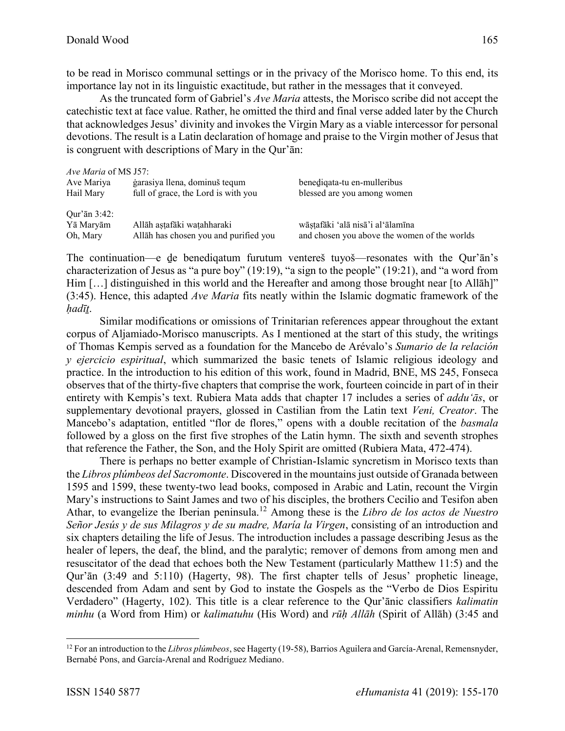to be read in Morisco communal settings or in the privacy of the Morisco home. To this end, its importance lay not in its linguistic exactitude, but rather in the messages that it conveyed.

As the truncated form of Gabriel's *Ave Maria* attests, the Morisco scribe did not accept the catechistic text at face value. Rather, he omitted the third and final verse added later by the Church that acknowledges Jesus' divinity and invokes the Virgin Mary as a viable intercessor for personal devotions. The result is a Latin declaration of homage and praise to the Virgin mother of Jesus that is congruent with descriptions of Mary in the Qur'ān:

| <i>Ave Maria</i> of MS J57: |                                       |                                              |
|-----------------------------|---------------------------------------|----------------------------------------------|
| Ave Mariya                  | garasiya Ilena, dominuš tequm         | benediqata-tu en-mulleribus                  |
| Hail Mary                   | full of grace, the Lord is with you   | blessed are you among women                  |
| Our'an 3:42:                |                                       |                                              |
| Yā Maryām                   | Allāh astafāki watahharaki            | wāstafāki 'alā nisā'i al'ālamīna             |
| Oh, Mary                    | Allāh has chosen you and purified you | and chosen you above the women of the worlds |

The continuation—e ḏe benediqatum furutum ventereš tuyoš—resonates with the Qur'ān's characterization of Jesus as "a pure boy"  $(19.19)$ , "a sign to the people"  $(19.21)$ , and "a word from Him [...] distinguished in this world and the Hereafter and among those brought near [to Allāh]" (3:45). Hence, this adapted *Ave Maria* fits neatly within the Islamic dogmatic framework of the *ḥadīṯ*.

Similar modifications or omissions of Trinitarian references appear throughout the extant corpus of Aljamiado-Morisco manuscripts. As I mentioned at the start of this study, the writings of Thomas Kempis served as a foundation for the Mancebo de Arévalo's *Sumario de la relación y ejercicio espiritual*, which summarized the basic tenets of Islamic religious ideology and practice. In the introduction to his edition of this work, found in Madrid, BNE, MS 245, Fonseca observes that of the thirty-five chapters that comprise the work, fourteen coincide in part of in their entirety with Kempis's text. Rubiera Mata adds that chapter 17 includes a series of *addu'ās*, or supplementary devotional prayers, glossed in Castilian from the Latin text *Veni, Creator*. The Mancebo's adaptation, entitled "flor de flores," opens with a double recitation of the *basmala*  followed by a gloss on the first five strophes of the Latin hymn. The sixth and seventh strophes that reference the Father, the Son, and the Holy Spirit are omitted (Rubiera Mata, 472-474).

There is perhaps no better example of Christian-Islamic syncretism in Morisco texts than the *Libros plúmbeos del Sacromonte*. Discovered in the mountains just outside of Granada between 1595 and 1599, these twenty-two lead books, composed in Arabic and Latin, recount the Virgin Mary's instructions to Saint James and two of his disciples, the brothers Cecilio and Tesifon aben Athar, to evangelize the Iberian peninsula.<sup>12</sup> Among these is the *Libro de los actos de Nuestro Señor Jesús y de sus Milagros y de su madre, María la Virgen*, consisting of an introduction and six chapters detailing the life of Jesus. The introduction includes a passage describing Jesus as the healer of lepers, the deaf, the blind, and the paralytic; remover of demons from among men and resuscitator of the dead that echoes both the New Testament (particularly Matthew 11:5) and the Qur'ān (3:49 and 5:110) (Hagerty, 98). The first chapter tells of Jesus' prophetic lineage, descended from Adam and sent by God to instate the Gospels as the "Verbo de Dios Espiritu Verdadero" (Hagerty, 102). This title is a clear reference to the Qur'ānic classifiers *kalimatin minhu* (a Word from Him) or *kalimatuhu* (His Word) and *rūḥ Allāh* (Spirit of Allāh) (3:45 and

<sup>12</sup> For an introduction to the *Libros plúmbeos*, see Hagerty (19-58), Barrios Aguilera and García-Arenal, Remensnyder, Bernabé Pons, and García-Arenal and Rodríguez Mediano.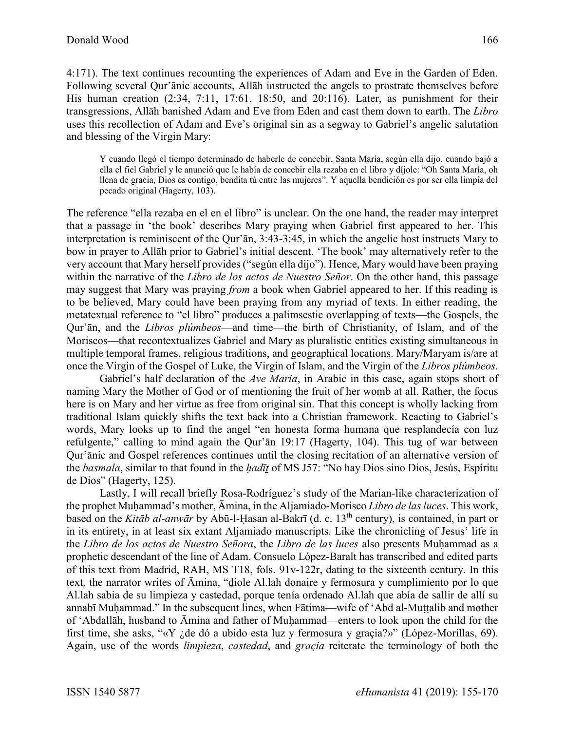4:171). The text continues recounting the experiences of Adam and Eve in the Garden of Eden. Following several Qur'ānic accounts, Allāh instructed the angels to prostrate themselves before His human creation (2:34, 7:11, 17:61, 18:50, and 20:116). Later, as punishment for their transgressions, Allāh banished Adam and Eve from Eden and cast them down to earth. The *Libro*  uses this recollection of Adam and Eve's original sin as a segway to Gabriel's angelic salutation and blessing of the Virgin Mary:

Y cuando llegó el tiempo determinado de haberle de concebir, Santa María, según ella dijo, cuando bajó a ella el fiel Gabriel y le anunció que le había de concebir ella rezaba en el libro y díjole: "Oh Santa María, oh llena de gracia, Dios es contigo, bendita tú entre las mujeres". Y aquella bendición es por ser ella limpia del pecado original (Hagerty, 103).

The reference "ella rezaba en el en el libro" is unclear. On the one hand, the reader may interpret that a passage in 'the book' describes Mary praying when Gabriel first appeared to her. This interpretation is reminiscent of the Qur'ān, 3:43-3:45, in which the angelic host instructs Mary to bow in prayer to Allāh prior to Gabriel's initial descent. 'The book' may alternatively refer to the very account that Mary herself provides ("según ella dijo"). Hence, Mary would have been praying within the narrative of the *Libro de los actos de Nuestro Señor*. On the other hand, this passage may suggest that Mary was praying *from* a book when Gabriel appeared to her. If this reading is to be believed, Mary could have been praying from any myriad of texts. In either reading, the metatextual reference to "el libro" produces a palimsestic overlapping of texts—the Gospels, the Qur'ān, and the *Libros plúmbeos*—and time—the birth of Christianity, of Islam, and of the Moriscos—that recontextualizes Gabriel and Mary as pluralistic entities existing simultaneous in multiple temporal frames, religious traditions, and geographical locations. Mary/Maryam is/are at once the Virgin of the Gospel of Luke, the Virgin of Islam, and the Virgin of the *Libros plúmbeos*.

Gabriel's half declaration of the *Ave Maria*, in Arabic in this case, again stops short of naming Mary the Mother of God or of mentioning the fruit of her womb at all. Rather, the focus here is on Mary and her virtue as free from original sin. That this concept is wholly lacking from traditional Islam quickly shifts the text back into a Christian framework. Reacting to Gabriel's words, Mary looks up to find the angel "en honesta forma humana que resplandecía con luz refulgente," calling to mind again the Qur'ān 19:17 (Hagerty, 104). This tug of war between Qur'ānic and Gospel references continues until the closing recitation of an alternative version of the *basmala*, similar to that found in the *ḥadīṯ* of MS J57: "No hay Dios sino Dios, Jesús, Espíritu de Dios" (Hagerty, 125).

Lastly, I will recall briefly Rosa-Rodríguez's study of the Marian-like characterization of the prophet Muḥammad's mother, Āmina, in the Aljamiado-Morisco *Libro de las luces*. This work, based on the *Kitāb al-anwār* by Abū-l-Ḥasan al-Bakrī (d. c. 13th century), is contained, in part or in its entirety, in at least six extant Aljamiado manuscripts. Like the chronicling of Jesus' life in the *Libro de los actos de Nuestro Señora*, the *Libro de las luces* also presents Muḥammad as a prophetic descendant of the line of Adam. Consuelo López-Baralt has transcribed and edited parts of this text from Madrid, RAH, MS T18, fols. 91v-122r, dating to the sixteenth century. In this text, the narrator writes of Āmina, "ḏiole Al.lah donaire y fermosura y cumplimiento por lo que Al.lah sabia de su limpieza y castedad, porque tenía ordenado Al.lah que abía de sallir de allí su annabī Muḥammad." In the subsequent lines, when Fātima—wife of 'Abd al-Muṭṭalib and mother of 'Abdallāh, husband to Āmina and father of Muḥammad—enters to look upon the child for the first time, she asks, "«Y ¿de dó a ubido esta luz y fermosura y graçia?»" (López-Morillas, 69). Again, use of the words *limpieza*, *castedad*, and *graçia* reiterate the terminology of both the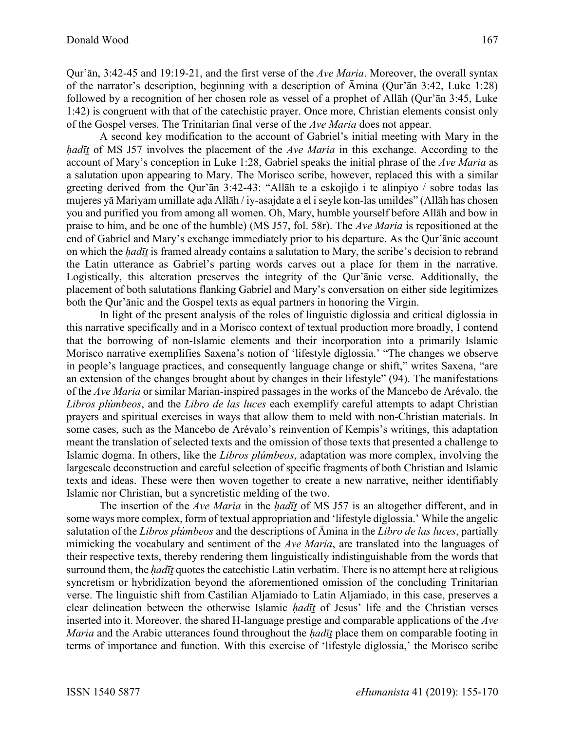Qur'ān, 3:42-45 and 19:19-21, and the first verse of the *Ave Maria*. Moreover, the overall syntax of the narrator's description, beginning with a description of Āmina (Qur'ān 3:42, Luke 1:28) followed by a recognition of her chosen role as vessel of a prophet of Allāh (Qur'ān 3:45, Luke 1:42) is congruent with that of the catechistic prayer. Once more, Christian elements consist only of the Gospel verses. The Trinitarian final verse of the *Ave Maria* does not appear.

A second key modification to the account of Gabriel's initial meeting with Mary in the *ḥadīṯ* of MS J57 involves the placement of the *Ave Maria* in this exchange. According to the account of Mary's conception in Luke 1:28, Gabriel speaks the initial phrase of the *Ave Maria* as a salutation upon appearing to Mary. The Morisco scribe, however, replaced this with a similar greeting derived from the Qur'ān 3:42-43: "Allāh te a eskojiḏo i te alinpiyo / sobre todas las mujeres yā Mariyam umillate aḏa Allāh / iy-asajdate a el i seyle kon-las umildes" (Allāh has chosen you and purified you from among all women. Oh, Mary, humble yourself before Allāh and bow in praise to him, and be one of the humble) (MS J57, fol. 58r). The *Ave Maria* is repositioned at the end of Gabriel and Mary's exchange immediately prior to his departure. As the Qur'ānic account on which the *ḥadīṯ* is framed already contains a salutation to Mary, the scribe's decision to rebrand the Latin utterance as Gabriel's parting words carves out a place for them in the narrative. Logistically, this alteration preserves the integrity of the Qur'ānic verse. Additionally, the placement of both salutations flanking Gabriel and Mary's conversation on either side legitimizes both the Qur'ānic and the Gospel texts as equal partners in honoring the Virgin.

In light of the present analysis of the roles of linguistic diglossia and critical diglossia in this narrative specifically and in a Morisco context of textual production more broadly, I contend that the borrowing of non-Islamic elements and their incorporation into a primarily Islamic Morisco narrative exemplifies Saxena's notion of 'lifestyle diglossia.' "The changes we observe in people's language practices, and consequently language change or shift," writes Saxena, "are an extension of the changes brought about by changes in their lifestyle" (94). The manifestations of the *Ave Maria* or similar Marian-inspired passages in the works of the Mancebo de Arévalo, the *Libros plúmbeos*, and the *Libro de las luces* each exemplify careful attempts to adapt Christian prayers and spiritual exercises in ways that allow them to meld with non-Christian materials. In some cases, such as the Mancebo de Arévalo's reinvention of Kempis's writings, this adaptation meant the translation of selected texts and the omission of those texts that presented a challenge to Islamic dogma. In others, like the *Libros plúmbeos*, adaptation was more complex, involving the largescale deconstruction and careful selection of specific fragments of both Christian and Islamic texts and ideas. These were then woven together to create a new narrative, neither identifiably Islamic nor Christian, but a syncretistic melding of the two.

The insertion of the *Ave Maria* in the *hadīt* of MS J57 is an altogether different, and in some ways more complex, form of textual appropriation and 'lifestyle diglossia.' While the angelic salutation of the *Libros plúmbeos* and the descriptions of Āmina in the *Libro de las luces*, partially mimicking the vocabulary and sentiment of the *Ave Maria*, are translated into the languages of their respective texts, thereby rendering them linguistically indistinguishable from the words that surround them, the *hadīt* quotes the catechistic Latin verbatim. There is no attempt here at religious syncretism or hybridization beyond the aforementioned omission of the concluding Trinitarian verse. The linguistic shift from Castilian Aljamiado to Latin Aljamiado, in this case, preserves a clear delineation between the otherwise Islamic *ḥadīṯ* of Jesus' life and the Christian verses inserted into it. Moreover, the shared H-language prestige and comparable applications of the *Ave Maria* and the Arabic utterances found throughout the *ḥadīṯ* place them on comparable footing in terms of importance and function. With this exercise of 'lifestyle diglossia,' the Morisco scribe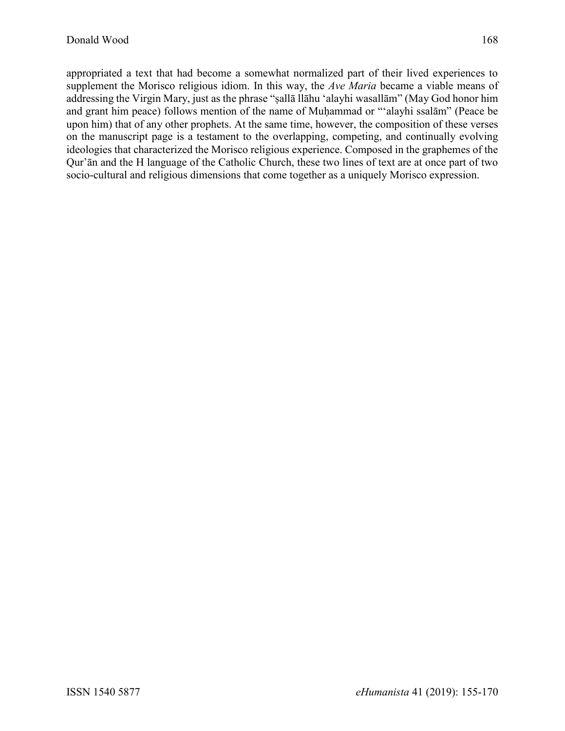appropriated a text that had become a somewhat normalized part of their lived experiences to supplement the Morisco religious idiom. In this way, the *Ave Maria* became a viable means of addressing the Virgin Mary, just as the phrase "ṣallā llāhu 'alayhi wasallām" (May God honor him and grant him peace) follows mention of the name of Muḥammad or "'alayhi ssalām" (Peace be upon him) that of any other prophets. At the same time, however, the composition of these verses on the manuscript page is a testament to the overlapping, competing, and continually evolving ideologies that characterized the Morisco religious experience. Composed in the graphemes of the Qur'ān and the H language of the Catholic Church, these two lines of text are at once part of two socio-cultural and religious dimensions that come together as a uniquely Morisco expression.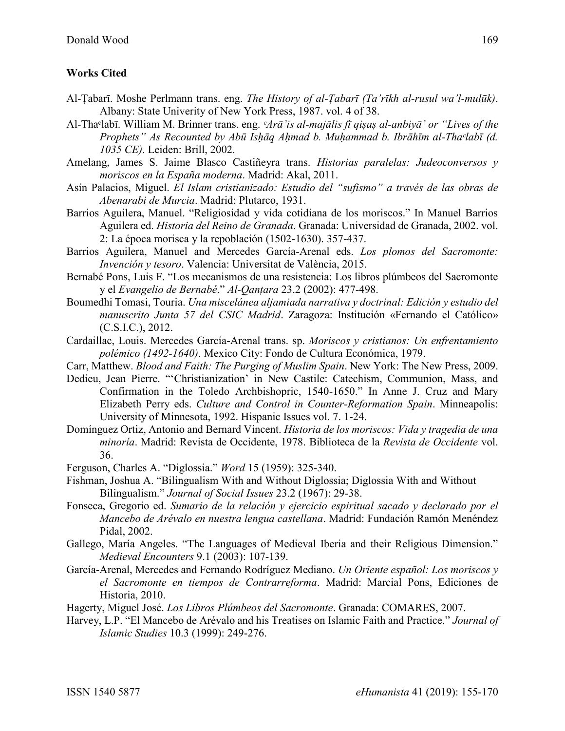## **Works Cited**

- Al-Ṭabarī. Moshe Perlmann trans. eng. *The History of al-Ṭabarī (Ta'rīkh al-rusul wa'l-mulūk)*. Albany: State Univerity of New York Press, 1987. vol. 4 of 38.
- Al-Thaᶜlabī. William M. Brinner trans. eng. *ᶜArā'is al-majālis fī qiṣaṣ al-anbiyā' or "Lives of the Prophets" As Recounted by Abū Isḥāq Aḥmad b. Muḥammad b. Ibrāhīm al-Thaᶜlabī (d. 1035 CE)*. Leiden: Brill, 2002.
- Amelang, James S. Jaime Blasco Castiñeyra trans. *Historias paralelas: Judeoconversos y moriscos en la España moderna*. Madrid: Akal, 2011.
- Asín Palacios, Miguel. *El Islam cristianizado: Estudio del "sufismo" a través de las obras de Abenarabi de Murcia*. Madrid: Plutarco, 1931.
- Barrios Aguilera, Manuel. "Religiosidad y vida cotidiana de los moriscos." In Manuel Barrios Aguilera ed. *Historia del Reino de Granada*. Granada: Universidad de Granada, 2002. vol. 2: La época morisca y la repoblación (1502-1630). 357-437.
- Barrios Aguilera, Manuel and Mercedes García-Arenal eds. *Los plomos del Sacromonte: Invención y tesoro*. Valencia: Universitat de València, 2015.
- Bernabé Pons, Luis F. "Los mecanismos de una resistencia: Los libros plúmbeos del Sacromonte y el *Evangelio de Bernabé*." *Al-Qanṭara* 23.2 (2002): 477-498.
- Boumedhi Tomasi, Touria. *Una miscelánea aljamiada narrativa y doctrinal: Edición y estudio del manuscrito Junta 57 del CSIC Madrid*. Zaragoza: Institución «Fernando el Católico» (C.S.I.C.), 2012.
- Cardaillac, Louis. Mercedes García-Arenal trans. sp. *Moriscos y cristianos: Un enfrentamiento polémico (1492-1640)*. Mexico City: Fondo de Cultura Económica, 1979.
- Carr, Matthew. *Blood and Faith: The Purging of Muslim Spain*. New York: The New Press, 2009.
- Dedieu, Jean Pierre. "'Christianization' in New Castile: Catechism, Communion, Mass, and Confirmation in the Toledo Archbishopric, 1540-1650." In Anne J. Cruz and Mary Elizabeth Perry eds. *Culture and Control in Counter-Reformation Spain*. Minneapolis: University of Minnesota, 1992. Hispanic Issues vol. 7. 1-24.
- Domínguez Ortiz, Antonio and Bernard Vincent. *Historia de los moriscos: Vida y tragedia de una minoría*. Madrid: Revista de Occidente, 1978. Biblioteca de la *Revista de Occidente* vol. 36.
- Ferguson, Charles A. "Diglossia." *Word* 15 (1959): 325-340.
- Fishman, Joshua A. "Bilingualism With and Without Diglossia; Diglossia With and Without Bilingualism." *Journal of Social Issues* 23.2 (1967): 29-38.
- Fonseca, Gregorio ed. *Sumario de la relación y ejercicio espiritual sacado y declarado por el Mancebo de Arévalo en nuestra lengua castellana*. Madrid: Fundación Ramón Menéndez Pidal, 2002.
- Gallego, María Angeles. "The Languages of Medieval Iberia and their Religious Dimension." *Medieval Encounters* 9.1 (2003): 107-139.
- García-Arenal, Mercedes and Fernando Rodríguez Mediano. *Un Oriente español: Los moriscos y el Sacromonte en tiempos de Contrarreforma*. Madrid: Marcial Pons, Ediciones de Historia, 2010.
- Hagerty, Miguel José. *Los Libros Plúmbeos del Sacromonte*. Granada: COMARES, 2007.
- Harvey, L.P. "El Mancebo de Arévalo and his Treatises on Islamic Faith and Practice." *Journal of Islamic Studies* 10.3 (1999): 249-276.